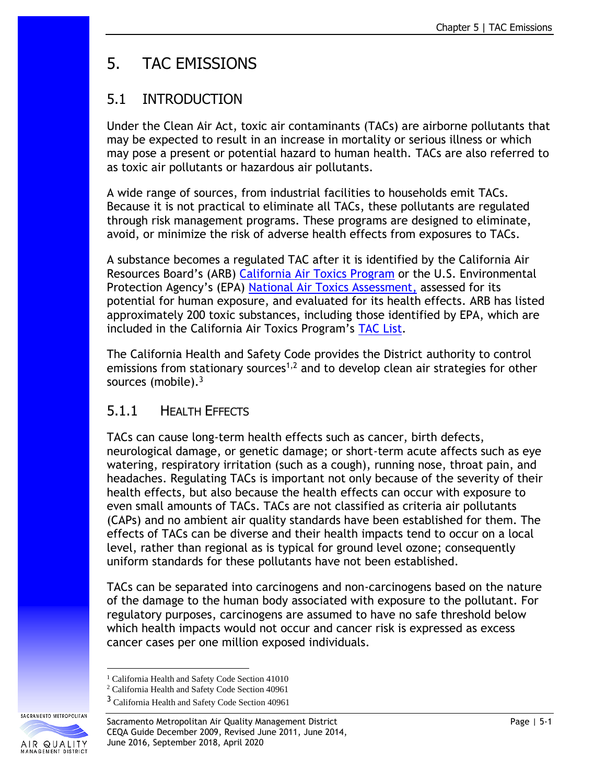# 5. TAC EMISSIONS

# 5.1 INTRODUCTION

Under the Clean Air Act, toxic air contaminants (TACs) are airborne pollutants that may be expected to result in an increase in mortality or serious illness or which may pose a present or potential hazard to human health. TACs are also referred to as toxic air pollutants or hazardous air pollutants.

A wide range of sources, from industrial facilities to households emit TACs. Because it is not practical to eliminate all TACs, these pollutants are regulated through risk management programs. These programs are designed to eliminate, avoid, or minimize the risk of adverse health effects from exposures to TACs.

A substance becomes a regulated TAC after it is identified by the California Air Resources Board's (ARB) [California Air Toxics Program](http://www.arb.ca.gov/toxics/toxics.htm) or the U.S. Environmental Protection Agency's (EPA) [National Air Toxics Assessment,](https://www.epa.gov/national-air-toxics-assessment) assessed for its potential for human exposure, and evaluated for its health effects. ARB has listed approximately 200 toxic substances, including those identified by EPA, which are included in the California Air Toxics Program's [TAC List.](http://www.arb.ca.gov/toxics/id/taclist.htm)

The California Health and Safety Code provides the District authority to control emissions from stationary sources<sup>1,2</sup> and to develop clean air strategies for other sources (mobile).<sup>3</sup>

# 5.1.1 HEALTH EFFECTS

TACs can cause long-term health effects such as cancer, birth defects, neurological damage, or genetic damage; or short-term acute affects such as eye watering, respiratory irritation (such as a cough), running nose, throat pain, and headaches. Regulating TACs is important not only because of the severity of their health effects, but also because the health effects can occur with exposure to even small amounts of TACs. TACs are not classified as criteria air pollutants (CAPs) and no ambient air quality standards have been established for them. The effects of TACs can be diverse and their health impacts tend to occur on a local level, rather than regional as is typical for ground level ozone; consequently uniform standards for these pollutants have not been established.

TACs can be separated into carcinogens and non-carcinogens based on the nature of the damage to the human body associated with exposure to the pollutant. For regulatory purposes, carcinogens are assumed to have no safe threshold below which health impacts would not occur and cancer risk is expressed as excess cancer cases per one million exposed individuals.

<sup>&</sup>lt;sup>3</sup> California Health and Safety Code Section 40961



Sacramento Metropolitan Air Quality Management District **Page 1986** Page | 5-1 CEQA Guide December 2009, Revised June 2011, June 2014, June 2016, September 2018, April 2020

<sup>&</sup>lt;sup>1</sup> California Health and Safety Code Section 41010

<sup>2</sup> California Health and Safety Code Section 40961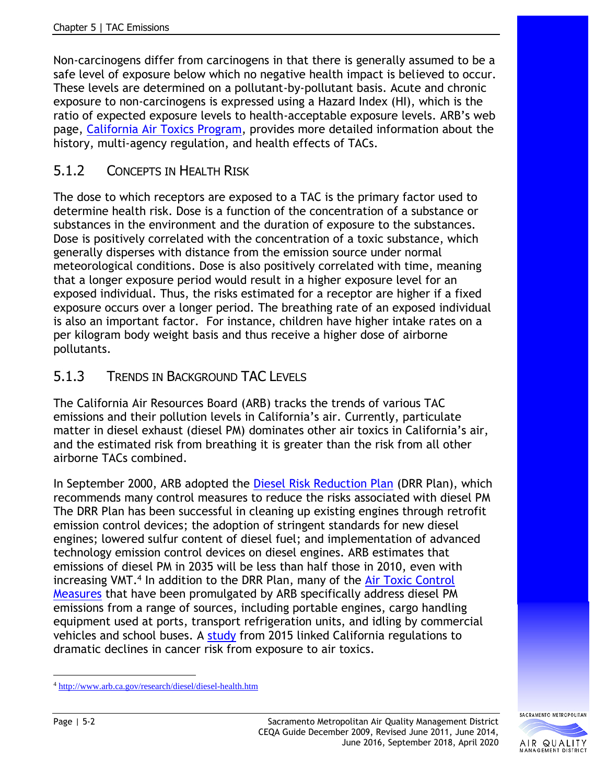Non-carcinogens differ from carcinogens in that there is generally assumed to be a safe level of exposure below which no negative health impact is believed to occur. These levels are determined on a pollutant-by-pollutant basis. Acute and chronic exposure to non-carcinogens is expressed using a Hazard Index (HI), which is the ratio of expected exposure levels to health-acceptable exposure levels. ARB's web page, [California Air Toxics Program,](http://www.arb.ca.gov/toxics/toxics.htm) provides more detailed information about the history, multi-agency regulation, and health effects of TACs.

# 5.1.2 CONCEPTS IN HEALTH RISK

The dose to which receptors are exposed to a TAC is the primary factor used to determine health risk. Dose is a function of the concentration of a substance or substances in the environment and the duration of exposure to the substances. Dose is positively correlated with the concentration of a toxic substance, which generally disperses with distance from the emission source under normal meteorological conditions. Dose is also positively correlated with time, meaning that a longer exposure period would result in a higher exposure level for an exposed individual. Thus, the risks estimated for a receptor are higher if a fixed exposure occurs over a longer period. The breathing rate of an exposed individual is also an important factor. For instance, children have higher intake rates on a per kilogram body weight basis and thus receive a higher dose of airborne pollutants.

### 5.1.3 TRENDS IN BACKGROUND TAC LEVELS

The California Air Resources Board (ARB) tracks the trends of various TAC emissions and their pollution levels in California's air. Currently, particulate matter in diesel exhaust (diesel PM) dominates other air toxics in California's air, and the estimated risk from breathing it is greater than the risk from all other airborne TACs combined.

In September 2000, ARB adopted the [Diesel Risk Reduction Plan](http://www.arb.ca.gov/diesel/documents/rrpapp.htm) (DRR Plan), which recommends many control measures to reduce the risks associated with diesel PM The DRR Plan has been successful in cleaning up existing engines through retrofit emission control devices; the adoption of stringent standards for new diesel engines; lowered sulfur content of diesel fuel; and implementation of advanced technology emission control devices on diesel engines. ARB estimates that emissions of diesel PM in 2035 will be less than half those in 2010, even with increasing VMT.<sup>4</sup> In addition to the DRR Plan, many of the **Air Toxic Control** [Measures](http://www.arb.ca.gov/toxics/atcm/atcm.htm) that have been promulgated by ARB specifically address diesel PM emissions from a range of sources, including portable engines, cargo handling equipment used at ports, transport refrigeration units, and idling by commercial vehicles and school buses. A [study](https://pubs.acs.org/doi/pdf/10.1021/acs.est.5b02766) from 2015 linked California regulations to dramatic declines in cancer risk from exposure to air toxics.



<sup>4</sup> <http://www.arb.ca.gov/research/diesel/diesel-health.htm>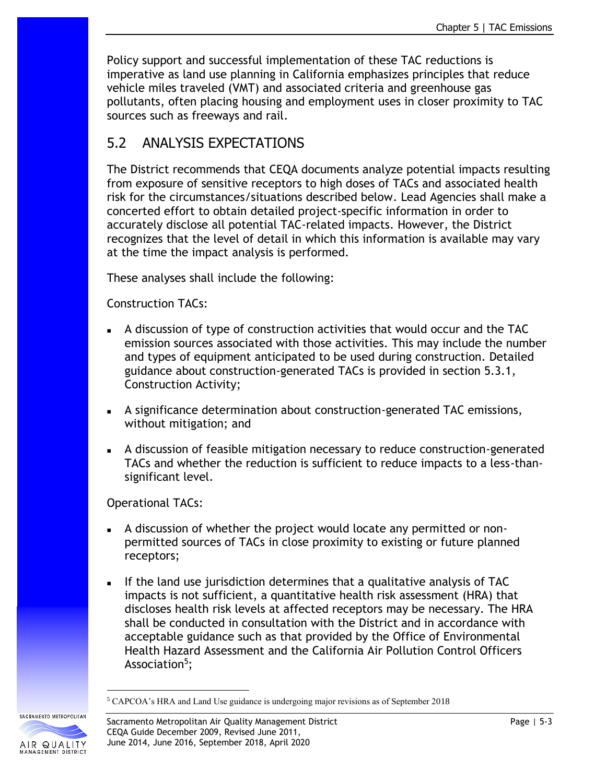Policy support and successful implementation of these TAC reductions is imperative as land use planning in California emphasizes principles that reduce vehicle miles traveled (VMT) and associated criteria and greenhouse gas pollutants, often placing housing and employment uses in closer proximity to TAC sources such as freeways and rail.

# 5.2 ANALYSIS EXPECTATIONS

The District recommends that CEQA documents analyze potential impacts resulting from exposure of sensitive receptors to high doses of TACs and associated health risk for the circumstances/situations described below. Lead Agencies shall make a concerted effort to obtain detailed project-specific information in order to accurately disclose all potential TAC-related impacts. However, the District recognizes that the level of detail in which this information is available may vary at the time the impact analysis is performed.

These analyses shall include the following:

Construction TACs:

- A discussion of type of construction activities that would occur and the TAC emission sources associated with those activities. This may include the number and types of equipment anticipated to be used during construction. Detailed guidance about construction-generated TACs is provided in section 5.3.1, Construction Activity;
- A significance determination about construction-generated TAC emissions, without mitigation; and
- A discussion of feasible mitigation necessary to reduce construction-generated TACs and whether the reduction is sufficient to reduce impacts to a less-thansignificant level.

Operational TACs:

- A discussion of whether the project would locate any permitted or nonpermitted sources of TACs in close proximity to existing or future planned receptors;
- If the land use jurisdiction determines that a qualitative analysis of TAC impacts is not sufficient, a quantitative health risk assessment (HRA) that discloses health risk levels at affected receptors may be necessary. The HRA shall be conducted in consultation with the District and in accordance with acceptable guidance such as that provided by the Office of Environmental Health Hazard Assessment and the California Air Pollution Control Officers Association<sup>5</sup>;

<sup>5</sup> CAPCOA's HRA and Land Use guidance is undergoing major revisions as of September 2018



SACRAMENTO METROPOLITAN

Sacramento Metropolitan Air Quality Management District National Communication of Page | 5-3 CEQA Guide December 2009, Revised June 2011, June 2014, June 2016, September 2018, April 2020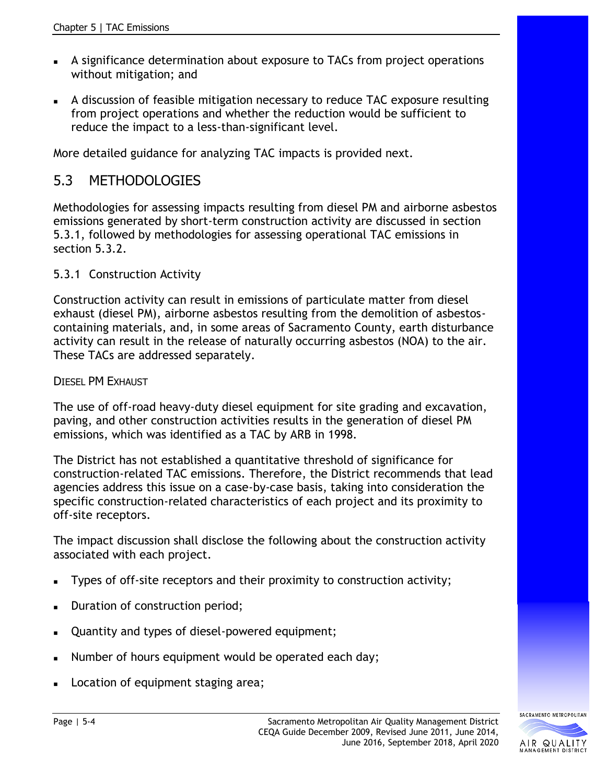- <sup>◼</sup> A significance determination about exposure to TACs from project operations without mitigation; and
- <sup>◼</sup> A discussion of feasible mitigation necessary to reduce TAC exposure resulting from project operations and whether the reduction would be sufficient to reduce the impact to a less-than-significant level.

More detailed guidance for analyzing TAC impacts is provided next.

# 5.3 METHODOLOGIES

Methodologies for assessing impacts resulting from diesel PM and airborne asbestos emissions generated by short-term construction activity are discussed in section 5.3.1, followed by methodologies for assessing operational TAC emissions in section 5.3.2.

#### 5.3.1 Construction Activity

Construction activity can result in emissions of particulate matter from diesel exhaust (diesel PM), airborne asbestos resulting from the demolition of asbestoscontaining materials, and, in some areas of Sacramento County, earth disturbance activity can result in the release of naturally occurring asbestos (NOA) to the air. These TACs are addressed separately.

#### DIESEL PM EXHAUST

The use of off-road heavy-duty diesel equipment for site grading and excavation, paving, and other construction activities results in the generation of diesel PM emissions, which was identified as a TAC by ARB in 1998.

The District has not established a quantitative threshold of significance for construction-related TAC emissions. Therefore, the District recommends that lead agencies address this issue on a case-by-case basis, taking into consideration the specific construction-related characteristics of each project and its proximity to off-site receptors.

The impact discussion shall disclose the following about the construction activity associated with each project.

- Types of off-site receptors and their proximity to construction activity;
- Duration of construction period;
- Quantity and types of diesel-powered equipment;
- Number of hours equipment would be operated each day;
- Location of equipment staging area;

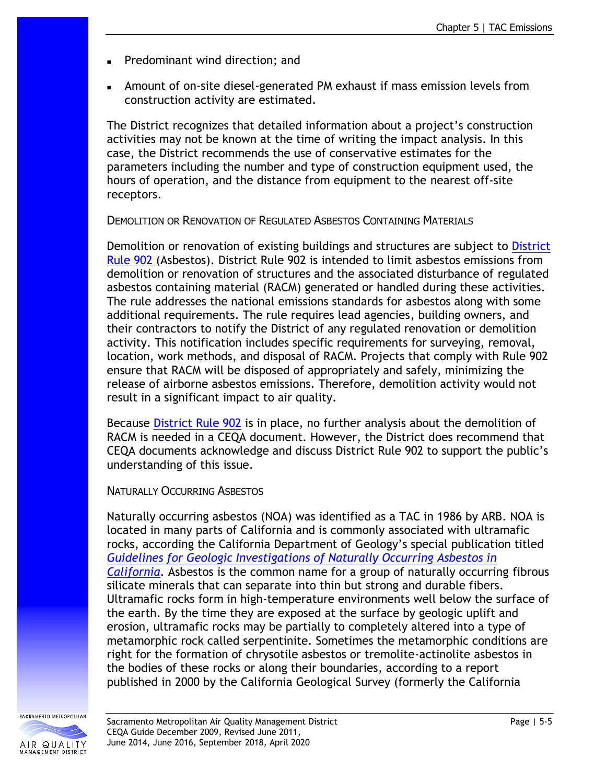- <sup>◼</sup> Predominant wind direction; and
- Amount of on-site diesel-generated PM exhaust if mass emission levels from construction activity are estimated.

The District recognizes that detailed information about a project's construction activities may not be known at the time of writing the impact analysis. In this case, the District recommends the use of conservative estimates for the parameters including the number and type of construction equipment used, the hours of operation, and the distance from equipment to the nearest off-site receptors.

DEMOLITION OR RENOVATION OF REGULATED ASBESTOS CONTAINING MATERIALS

Demolition or renovation of existing buildings and structures are subject to District [Rule 902](http://www.airquality.org/Businesses/Rules-Regulations) (Asbestos). District Rule 902 is intended to limit asbestos emissions from demolition or renovation of structures and the associated disturbance of regulated asbestos containing material (RACM) generated or handled during these activities. The rule addresses the national emissions standards for asbestos along with some additional requirements. The rule requires lead agencies, building owners, and their contractors to notify the District of any regulated renovation or demolition activity. This notification includes specific requirements for surveying, removal, location, work methods, and disposal of RACM. Projects that comply with Rule 902 ensure that RACM will be disposed of appropriately and safely, minimizing the release of airborne asbestos emissions. Therefore, demolition activity would not result in a significant impact to air quality.

Because [District Rule 902](http://www.airquality.org/Businesses/Rules-Regulations) is in place, no further analysis about the demolition of RACM is needed in a CEQA document. However, the District does recommend that CEQA documents acknowledge and discuss District Rule 902 to support the public's understanding of this issue.

NATURALLY OCCURRING ASBESTOS

Naturally occurring asbestos (NOA) was identified as a TAC in 1986 by ARB. NOA is located in many parts of California and is commonly associated with ultramafic rocks, according the California Department of Geology's special publication titled *[Guidelines for Geologic Investigations of Naturally Occurring Asbestos in](ftp://ftp.consrv.ca.gov/pub/dmg/pubs/ofr/ofr_2000-019.pdf)  [California](ftp://ftp.consrv.ca.gov/pub/dmg/pubs/ofr/ofr_2000-019.pdf)*. Asbestos is the common name for a group of naturally occurring fibrous silicate minerals that can separate into thin but strong and durable fibers. Ultramafic rocks form in high-temperature environments well below the surface of the earth. By the time they are exposed at the surface by geologic uplift and erosion, ultramafic rocks may be partially to completely altered into a type of metamorphic rock called serpentinite. Sometimes the metamorphic conditions are right for the formation of chrysotile asbestos or tremolite-actinolite asbestos in the bodies of these rocks or along their boundaries, according to a report published in 2000 by the California Geological Survey (formerly the California

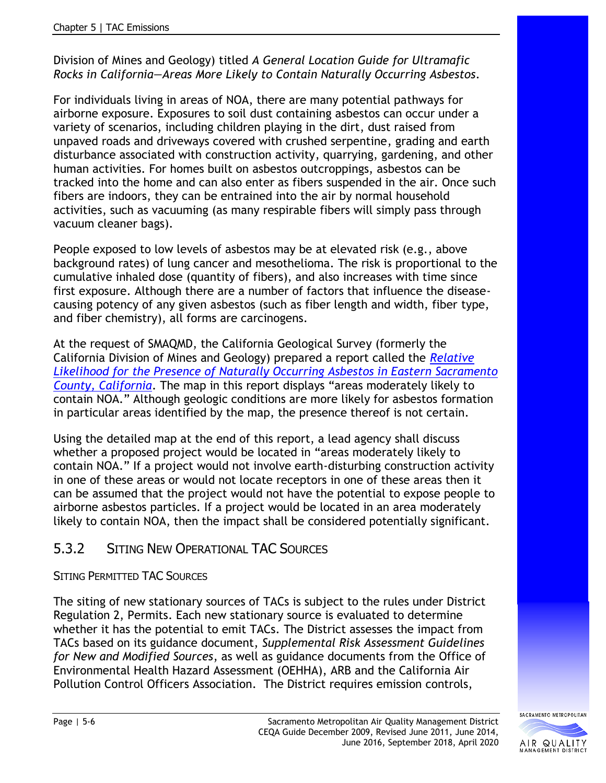#### Division of Mines and Geology) titled *A General Location Guide for Ultramafic Rocks in California—Areas More Likely to Contain Naturally Occurring Asbestos*.

For individuals living in areas of NOA, there are many potential pathways for airborne exposure. Exposures to soil dust containing asbestos can occur under a variety of scenarios, including children playing in the dirt, dust raised from unpaved roads and driveways covered with crushed serpentine, grading and earth disturbance associated with construction activity, quarrying, gardening, and other human activities. For homes built on asbestos outcroppings, asbestos can be tracked into the home and can also enter as fibers suspended in the air. Once such fibers are indoors, they can be entrained into the air by normal household activities, such as vacuuming (as many respirable fibers will simply pass through vacuum cleaner bags).

People exposed to low levels of asbestos may be at elevated risk (e.g., above background rates) of lung cancer and mesothelioma. The risk is proportional to the cumulative inhaled dose (quantity of fibers), and also increases with time since first exposure. Although there are a number of factors that influence the diseasecausing potency of any given asbestos (such as fiber length and width, fiber type, and fiber chemistry), all forms are carcinogens.

At the request of SMAQMD, the California Geological Survey (formerly the California Division of Mines and Geology) prepared a report called the *[Relative](http://www.conservation.ca.gov/cgs/Pages/HazardousMinerals/east_sacramento.aspx)  [Likelihood for the Presence of Naturally Occurring Asbestos in Eastern Sacramento](http://www.conservation.ca.gov/cgs/Pages/HazardousMinerals/east_sacramento.aspx)  [County, California](http://www.conservation.ca.gov/cgs/Pages/HazardousMinerals/east_sacramento.aspx)*. The map in this report displays "areas moderately likely to contain NOA." Although geologic conditions are more likely for asbestos formation in particular areas identified by the map, the presence thereof is not certain.

Using the detailed map at the end of this report, a lead agency shall discuss whether a proposed project would be located in "areas moderately likely to contain NOA." If a project would not involve earth-disturbing construction activity in one of these areas or would not locate receptors in one of these areas then it can be assumed that the project would not have the potential to expose people to airborne asbestos particles. If a project would be located in an area moderately likely to contain NOA, then the impact shall be considered potentially significant.

## 5.3.2 SITING NEW OPERATIONAL TAC SOURCES

#### SITING PERMITTED TAC SOURCES

The siting of new stationary sources of TACs is subject to the rules under District [Regulation 2, Permits.](http://www.airquality.org/rules/index.shtml) Each new stationary source is evaluated to determine whether it has the potential to emit TACs. The District assesses the impact from TACs based on its guidance document, *Supplemental Risk Assessment Guidelines for New and Modified Sources*, as well as guidance documents from the Office of Environmental Health Hazard Assessment (OEHHA), ARB and the California Air Pollution Control Officers Association. The District requires emission controls,

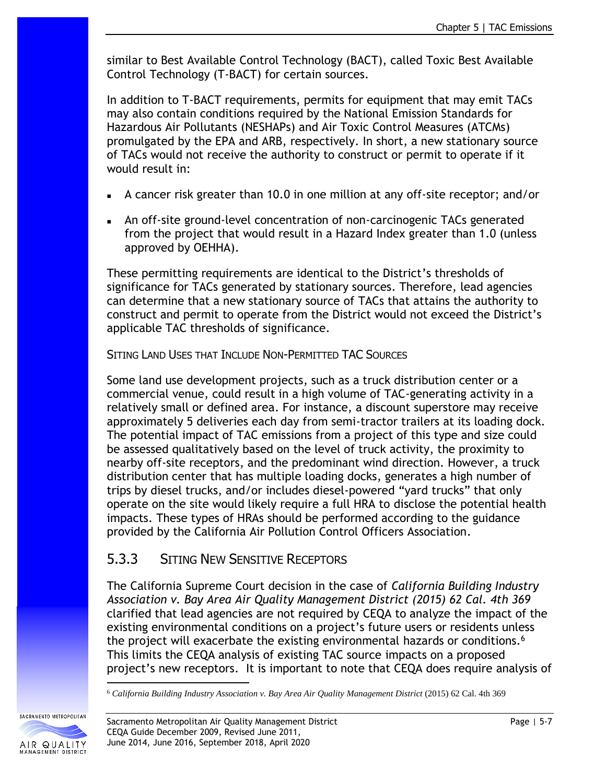similar to Best Available Control Technology (BACT), called Toxic Best Available Control Technology (T-BACT) for certain sources.

In addition to T-BACT requirements, permits for equipment that may emit TACs may also contain conditions required by the National Emission Standards for Hazardous Air Pollutants (NESHAPs) and Air Toxic Control Measures (ATCMs) promulgated by the EPA and ARB, respectively. In short, a new stationary source of TACs would not receive the authority to construct or permit to operate if it would result in:

- <sup>◼</sup> A cancer risk greater than 10.0 in one million at any off-site receptor; and/or
- <sup>◼</sup> An off-site ground-level concentration of non-carcinogenic TACs generated from the project that would result in a Hazard Index greater than 1.0 (unless approved by OEHHA).

These permitting requirements are identical to the District's thresholds of significance for TACs generated by stationary sources. Therefore, lead agencies can determine that a new stationary source of TACs that attains the authority to construct and permit to operate from the District would not exceed the District's applicable TAC thresholds of significance.

SITING LAND USES THAT INCLUDE NON-PERMITTED TAC SOURCES

Some land use development projects, such as a truck distribution center or a commercial venue, could result in a high volume of TAC-generating activity in a relatively small or defined area. For instance, a discount superstore may receive approximately 5 deliveries each day from semi-tractor trailers at its loading dock. The potential impact of TAC emissions from a project of this type and size could be assessed qualitatively based on the level of truck activity, the proximity to nearby off-site receptors, and the predominant wind direction. However, a truck distribution center that has multiple loading docks, generates a high number of trips by diesel trucks, and/or includes diesel-powered "yard trucks" that only operate on the site would likely require a full HRA to disclose the potential health impacts. These types of HRAs should be performed according to the guidance provided by the California Air Pollution Control Officers Association.

## 5.3.3 SITING NEW SENSITIVE RECEPTORS

The California Supreme Court decision in the case of *California Building Industry Association v. Bay Area Air Quality Management District (2015) 62 Cal. 4th 369* clarified that lead agencies are not required by CEQA to analyze the impact of the existing environmental conditions on a project's future users or residents unless the project will exacerbate the existing environmental hazards or conditions.<sup>6</sup> This limits the CEQA analysis of existing TAC source impacts on a proposed project's new receptors. It is important to note that CEQA does require analysis of

<sup>6</sup> *California Building Industry Association v. Bay Area Air Quality Management District* (2015) 62 Cal. 4th 369



SACRAMENTO METROPOLITAN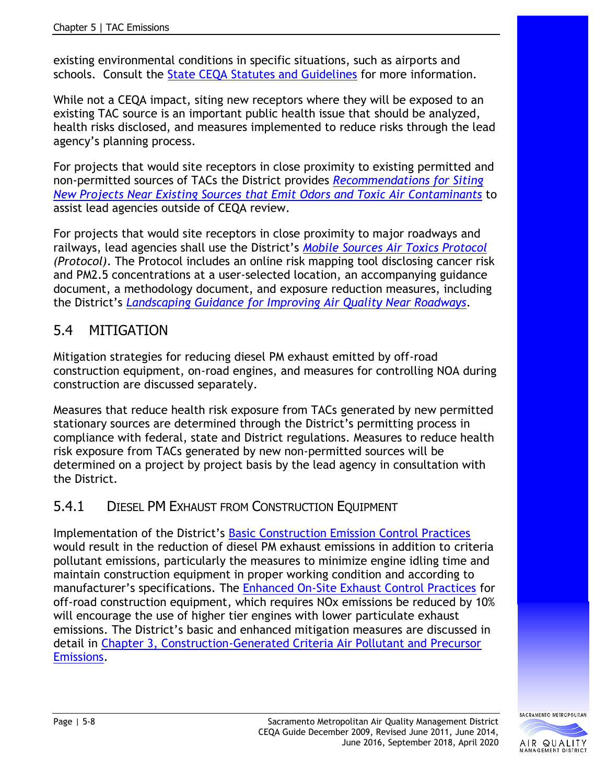existing environmental conditions in specific situations, such as airports and schools. Consult the [State CEQA Statutes and Guidelines](https://resources.ca.gov/About-Us/Legal/CEQA-Supplemental-Documents) for more information.

While not a CEQA impact, siting new receptors where they will be exposed to an existing TAC source is an important public health issue that should be analyzed, health risks disclosed, and measures implemented to reduce risks through the lead agency's planning process.

For projects that would site receptors in close proximity to existing permitted and non-permitted sources of TACs the District provides *[Recommendations for Siting](http://www.airquality.org/LandUseTransportation/Documents/ExistingOdorsToxicsRecommendationsFinal7-24-19.pdf)  [New Projects Near Existing Sources that Emit Odors and Toxic Air Contaminants](http://www.airquality.org/LandUseTransportation/Documents/ExistingOdorsToxicsRecommendationsFinal7-24-19.pdf)* to assist lead agencies outside of CEQA review.

For projects that would site receptors in close proximity to major roadways and railways, lead agencies shall use the District's *[Mobile Sources Air Toxics Protocol](http://www.airquality.org/businesses/ceqa-land-use-planning/mobile-sources-air-toxics-protocol)  [\(Protocol](http://www.airquality.org/businesses/ceqa-land-use-planning/mobile-sources-air-toxics-protocol))*. The Protocol includes an online risk mapping tool disclosing cancer risk and PM2.5 concentrations at a user-selected location, an accompanying guidance document, a methodology document, and exposure reduction measures, including the District's *[Landscaping Guidance for Improving Air Quality Near Roadways](http://www.airquality.org/LandUseTransportation/Documents/SMAQMDFinalLandscapingGuidanceApril2017.pdf)*.

# 5.4 MITIGATION

Mitigation strategies for reducing diesel PM exhaust emitted by off-road construction equipment, on-road engines, and measures for controlling NOA during construction are discussed separately.

Measures that reduce health risk exposure from TACs generated by new permitted stationary sources are determined through the District's permitting process in compliance with federal, state and District regulations. Measures to reduce health risk exposure from TACs generated by new non-permitted sources will be determined on a project by project basis by the lead agency in consultation with the District.

# 5.4.1 DIESEL PM EXHAUST FROM CONSTRUCTION EQUIPMENT

Implementation of the District's [Basic Construction Emission Control Practices](http://www.airquality.org/Businesses/CEQA-Land-Use-Planning/CEQA-Guidance-Tools) would result in the reduction of diesel PM exhaust emissions in addition to criteria pollutant emissions, particularly the measures to minimize engine idling time and maintain construction equipment in proper working condition and according to manufacturer's specifications. The [Enhanced On-Site Exhaust Control Practices](http://www.airquality.org/Businesses/CEQA-Land-Use-Planning/CEQA-Guidance-Tools) for off-road construction equipment, which requires NOx emissions be reduced by 10% will encourage the use of higher tier engines with lower particulate exhaust emissions. The District's basic and enhanced mitigation measures are discussed in detail in [Chapter 3, Construction-Generated Criteria Air Pollutant and Precursor](http://www.airquality.org/Businesses/CEQA-Land-Use-Planning/CEQA-Guidance-Tools)  [Emissions.](http://www.airquality.org/Businesses/CEQA-Land-Use-Planning/CEQA-Guidance-Tools)

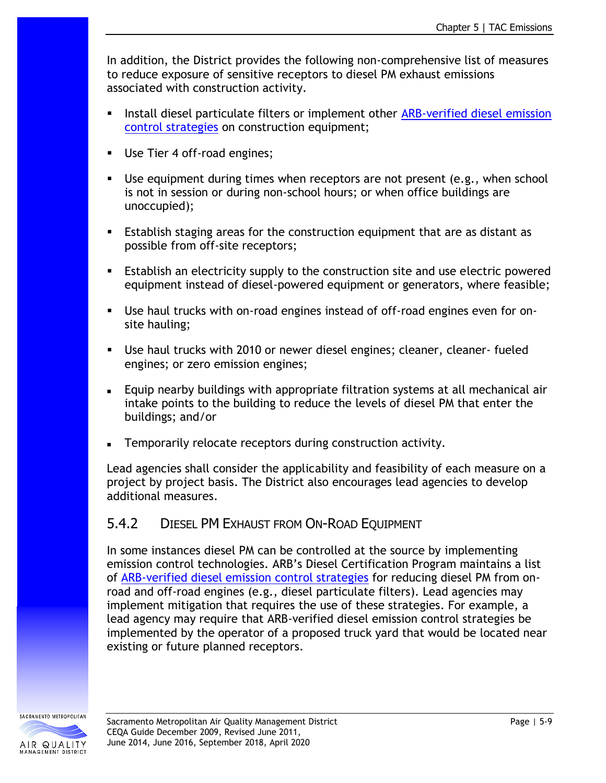In addition, the District provides the following non-comprehensive list of measures to reduce exposure of sensitive receptors to diesel PM exhaust emissions associated with construction activity.

- **EXECT** Install diesel particulate filters or implement other ARB-verified diesel emission [control strategies](http://www.arb.ca.gov/diesel/verdev/vt/cvt.htm) on construction equipment;
- **■** Use Tier 4 off-road engines;
- Use equipment during times when receptors are not present (e.g., when school is not in session or during non-school hours; or when office buildings are unoccupied);
- Establish staging areas for the construction equipment that are as distant as possible from off-site receptors;
- **E** Establish an electricity supply to the construction site and use electric powered equipment instead of diesel-powered equipment or generators, where feasible;
- Use haul trucks with on-road engines instead of off-road engines even for onsite hauling;
- Use haul trucks with 2010 or newer diesel engines; cleaner, cleaner- fueled engines; or zero emission engines;
- Equip nearby buildings with appropriate filtration systems at all mechanical air intake points to the building to reduce the levels of diesel PM that enter the buildings; and/or
- Temporarily relocate receptors during construction activity.

Lead agencies shall consider the applicability and feasibility of each measure on a project by project basis. The District also encourages lead agencies to develop additional measures.

#### 5.4.2 DIESEL PM EXHAUST FROM ON-ROAD EQUIPMENT

In some instances diesel PM can be controlled at the source by implementing emission control technologies. ARB's Diesel Certification Program maintains a list of [ARB-verified diesel emission](http://www.arb.ca.gov/diesel/verdev/vt/cvt.htm) control strategies for reducing diesel PM from onroad and off-road engines (e.g., diesel particulate filters). Lead agencies may implement mitigation that requires the use of these strategies. For example, a lead agency may require that ARB-verified diesel emission control strategies be implemented by the operator of a proposed truck yard that would be located near existing or future planned receptors.



SACRAMENTO METROPOLITAN